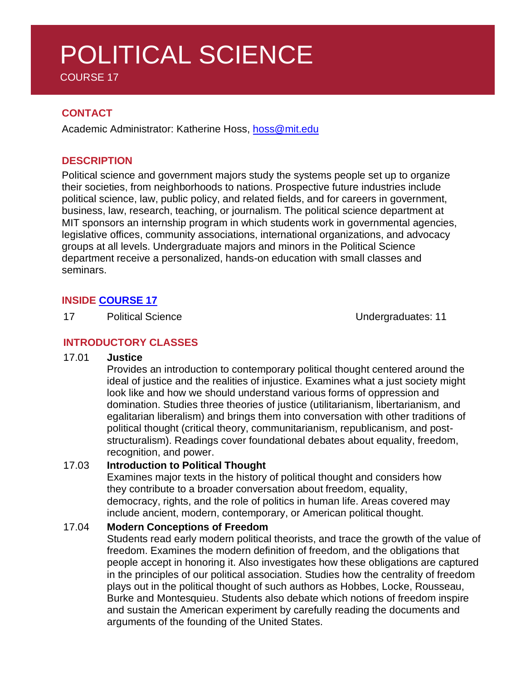# POLITICAL SCIENCE

COURSE 17

# **CONTACT**

Academic Administrator: Katherine Hoss, [hoss@mit.edu](mailto:hoss@mit.edu)

### **DESCRIPTION**

Political science and government majors study the systems people set up to organize their societies, from neighborhoods to nations. Prospective future industries include political science, law, public policy, and related fields, and for careers in government, business, law, research, teaching, or journalism. The political science department at MIT sponsors an internship program in which students work in governmental agencies, legislative offices, community associations, international organizations, and advocacy groups at all levels. Undergraduate majors and minors in the Political Science department receive a personalized, hands-on education with small classes and seminars.

# **INSIDE [COURSE](https://polisci.mit.edu/undergraduate) 17**

17 Political Science **National Excite** Undergraduates: 11

## **INTRODUCTORY CLASSES**

#### 17.01 **Justice**

Provides an introduction to contemporary political thought centered around the ideal of justice and the realities of injustice. Examines what a just society might look like and how we should understand various forms of oppression and domination. Studies three theories of justice (utilitarianism, libertarianism, and egalitarian liberalism) and brings them into conversation with other traditions of political thought (critical theory, communitarianism, republicanism, and poststructuralism). Readings cover foundational debates about equality, freedom, recognition, and power.

#### 17.03 **Introduction to Political Thought**

Examines major texts in the history of political thought and considers how they contribute to a broader conversation about freedom, equality, democracy, rights, and the role of politics in human life. Areas covered may include ancient, modern, contemporary, or American political thought.

#### 17.04 **Modern Conceptions of Freedom**

Students read early modern political theorists, and trace the growth of the value of freedom. Examines the modern definition of freedom, and the obligations that people accept in honoring it. Also investigates how these obligations are captured in the principles of our political association. Studies how the centrality of freedom plays out in the political thought of such authors as Hobbes, Locke, Rousseau, Burke and Montesquieu. Students also debate which notions of freedom inspire and sustain the American experiment by carefully reading the documents and arguments of the founding of the United States.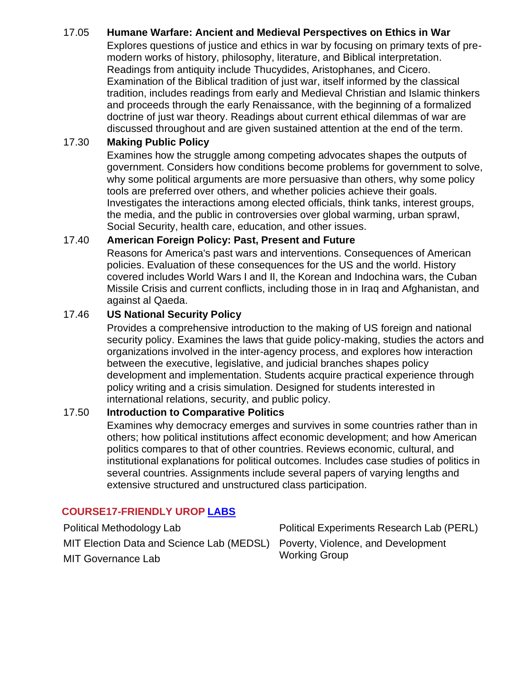# 17.05 **Humane Warfare: Ancient and Medieval Perspectives on Ethics in War**

Explores questions of justice and ethics in war by focusing on primary texts of premodern works of history, philosophy, literature, and Biblical interpretation. Readings from antiquity include Thucydides, Aristophanes, and Cicero. Examination of the Biblical tradition of just war, itself informed by the classical tradition, includes readings from early and Medieval Christian and Islamic thinkers and proceeds through the early Renaissance, with the beginning of a formalized doctrine of just war theory. Readings about current ethical dilemmas of war are discussed throughout and are given sustained attention at the end of the term.

# 17.30 **Making Public Policy**

Examines how the struggle among competing advocates shapes the outputs of government. Considers how conditions become problems for government to solve, why some political arguments are more persuasive than others, why some policy tools are preferred over others, and whether policies achieve their goals. Investigates the interactions among elected officials, think tanks, interest groups, the media, and the public in controversies over global warming, urban sprawl, Social Security, health care, education, and other issues.

## 17.40 **American Foreign Policy: Past, Present and Future**

Reasons for America's past wars and interventions. Consequences of American policies. Evaluation of these consequences for the US and the world. History covered includes World Wars I and II, the Korean and Indochina wars, the Cuban Missile Crisis and current conflicts, including those in in Iraq and Afghanistan, and against al Qaeda.

### 17.46 **US National Security Policy**

Provides a comprehensive introduction to the making of US foreign and national security policy. Examines the laws that guide policy-making, studies the actors and organizations involved in the inter-agency process, and explores how interaction between the executive, legislative, and judicial branches shapes policy development and implementation. Students acquire practical experience through policy writing and a crisis simulation. Designed for students interested in international relations, security, and public policy.

#### 17.50 **Introduction to Comparative Politics**

Examines why democracy emerges and survives in some countries rather than in others; how political institutions affect economic development; and how American politics compares to that of other countries. Reviews economic, cultural, and institutional explanations for political outcomes. Includes case studies of politics in several countries. Assignments include several papers of varying lengths and extensive structured and unstructured class participation.

# **COURSE17-FRIENDLY UROP [LABS](https://polisci.mit.edu/research)**

| Political Methodology Lab                                                    | Political Experiments Research Lab (PERL) |
|------------------------------------------------------------------------------|-------------------------------------------|
| MIT Election Data and Science Lab (MEDSL) Poverty, Violence, and Development |                                           |
| MIT Governance Lab                                                           | <b>Working Group</b>                      |